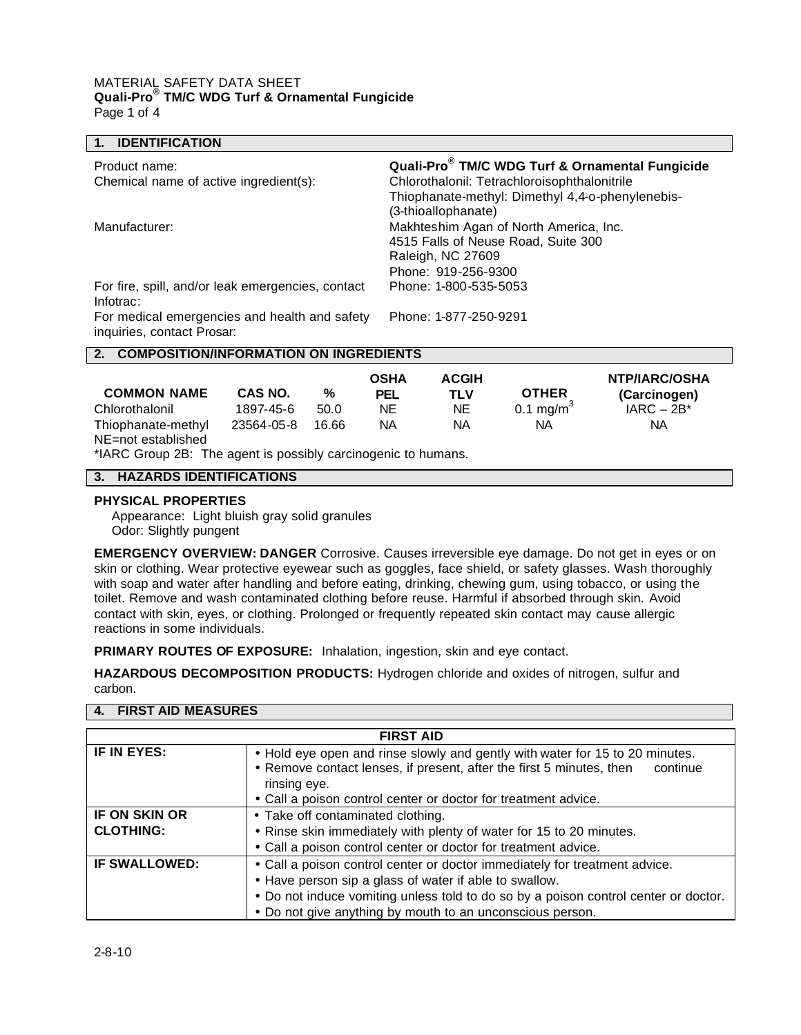### MATERIAL SAFETY DATA SHEET **Quali-Pro® TM/C WDG Turf & Ornamental Fungicide** Page 1 of 4

| <b>IDENTIFICATION</b>                               |            |       |             |                                                                               |                                                  |               |  |
|-----------------------------------------------------|------------|-------|-------------|-------------------------------------------------------------------------------|--------------------------------------------------|---------------|--|
| Product name:                                       |            |       |             | Quali-Pro <sup>®</sup> TM/C WDG Turf & Ornamental Fungicide                   |                                                  |               |  |
| Chemical name of active ingredient(s):              |            |       |             | Chlorothalonil: Tetrachloroisophthalonitrile                                  |                                                  |               |  |
|                                                     |            |       |             |                                                                               | Thiophanate-methyl: Dimethyl 4,4-o-phenylenebis- |               |  |
|                                                     |            |       |             | (3-thioallophanate)                                                           |                                                  |               |  |
| Manufacturer:                                       |            |       |             | Makhteshim Agan of North America, Inc.<br>4515 Falls of Neuse Road, Suite 300 |                                                  |               |  |
|                                                     |            |       |             | Raleigh, NC 27609                                                             |                                                  |               |  |
|                                                     |            |       |             | Phone: 919-256-9300                                                           |                                                  |               |  |
| For fire, spill, and/or leak emergencies, contact   |            |       |             | Phone: 1-800-535-5053                                                         |                                                  |               |  |
| Infotrac:                                           |            |       |             |                                                                               |                                                  |               |  |
| For medical emergencies and health and safety       |            |       |             | Phone: 1-877-250-9291                                                         |                                                  |               |  |
| inquiries, contact Prosar:                          |            |       |             |                                                                               |                                                  |               |  |
| <b>COMPOSITION/INFORMATION ON INGREDIENTS</b><br>2. |            |       |             |                                                                               |                                                  |               |  |
|                                                     |            |       | <b>OSHA</b> | <b>ACGIH</b>                                                                  |                                                  | NTP/IARC/OSHA |  |
| <b>COMMON NAME</b>                                  | CAS NO.    | %     | <b>PEL</b>  | <b>TLV</b>                                                                    | <b>OTHER</b>                                     | (Carcinogen)  |  |
| Chlorothalonil                                      | 1897-45-6  | 50.0  | <b>NE</b>   | NE.                                                                           | 0.1 mg/m <sup>3</sup>                            | $IARC - 2B*$  |  |
| Thiophanate-methyl                                  | 23564-05-8 | 16.66 | <b>NA</b>   | NA                                                                            | NA                                               | NA            |  |

# **3. HAZARDS IDENTIFICATIONS**

## **PHYSICAL PROPERTIES**

NE=not established

Appearance: Light bluish gray solid granules Odor: Slightly pungent

\*IARC Group 2B: The agent is possibly carcinogenic to humans.

**EMERGENCY OVERVIEW: DANGER** Corrosive. Causes irreversible eye damage. Do not get in eyes or on skin or clothing. Wear protective eyewear such as goggles, face shield, or safety glasses. Wash thoroughly with soap and water after handling and before eating, drinking, chewing gum, using tobacco, or using the toilet. Remove and wash contaminated clothing before reuse. Harmful if absorbed through skin. Avoid contact with skin, eyes, or clothing. Prolonged or frequently repeated skin contact may cause allergic reactions in some individuals.

**PRIMARY ROUTES OF EXPOSURE:** Inhalation, ingestion, skin and eye contact.

**HAZARDOUS DECOMPOSITION PRODUCTS:** Hydrogen chloride and oxides of nitrogen, sulfur and carbon.

## **4. FIRST AID MEASURES**

| <b>FIRST AID</b>                         |                                                                                                                                                                                                                                                                                          |  |  |  |
|------------------------------------------|------------------------------------------------------------------------------------------------------------------------------------------------------------------------------------------------------------------------------------------------------------------------------------------|--|--|--|
| IF IN EYES:                              | • Hold eye open and rinse slowly and gently with water for 15 to 20 minutes.<br>• Remove contact lenses, if present, after the first 5 minutes, then<br>continue<br>rinsing eye.<br>• Call a poison control center or doctor for treatment advice.                                       |  |  |  |
| <b>IF ON SKIN OR</b><br><b>CLOTHING:</b> | • Take off contaminated clothing.<br>• Rinse skin immediately with plenty of water for 15 to 20 minutes.<br>• Call a poison control center or doctor for treatment advice.                                                                                                               |  |  |  |
| <b>IF SWALLOWED:</b>                     | • Call a poison control center or doctor immediately for treatment advice.<br>• Have person sip a glass of water if able to swallow.<br>. Do not induce vomiting unless told to do so by a poison control center or doctor.<br>• Do not give anything by mouth to an unconscious person. |  |  |  |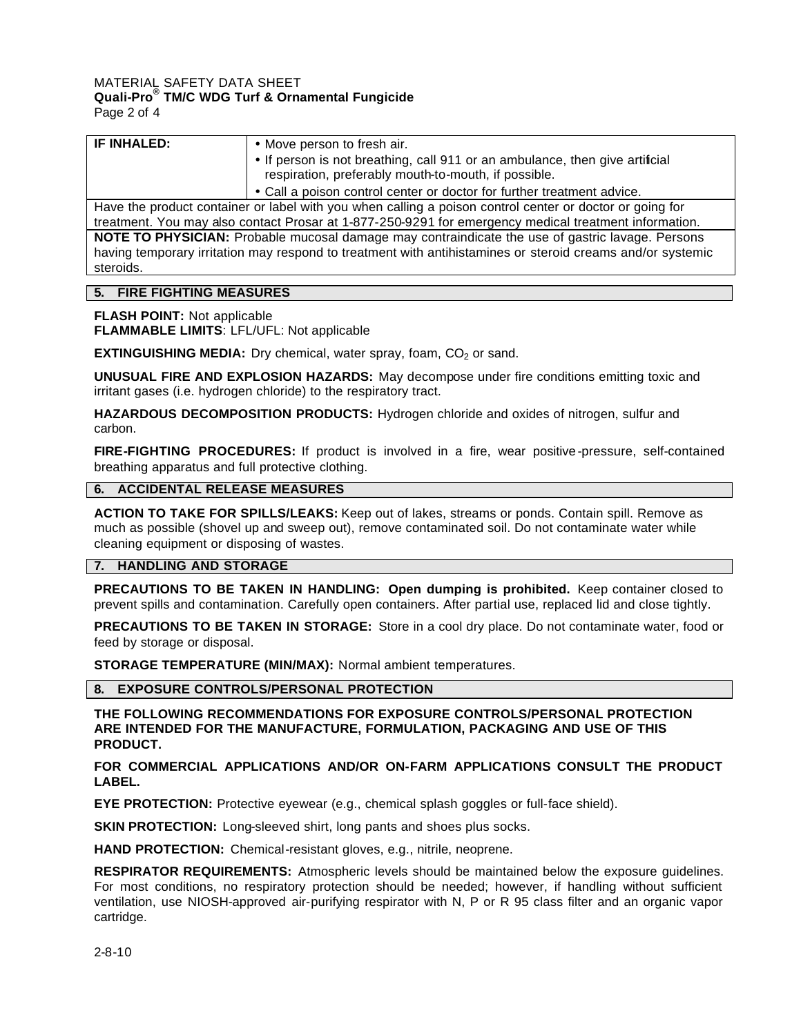#### MATERIAL SAFETY DATA SHEET **Quali-Pro® TM/C WDG Turf & Ornamental Fungicide** Page 2 of 4

| IF INHALED:                                                                                                | • Move person to fresh air.                                                  |  |  |
|------------------------------------------------------------------------------------------------------------|------------------------------------------------------------------------------|--|--|
|                                                                                                            | • If person is not breathing, call 911 or an ambulance, then give artificial |  |  |
|                                                                                                            | respiration, preferably mouth-to-mouth, if possible.                         |  |  |
|                                                                                                            | • Call a poison control center or doctor for further treatment advice.       |  |  |
| Have the product container or label with you when calling a poison control center or doctor or going for   |                                                                              |  |  |
| treatment. You may also contact Prosar at 1-877-250-9291 for emergency medical treatment information.      |                                                                              |  |  |
| NOTE TO PHYSICIAN: Probable mucosal damage may contraindicate the use of gastric lavage. Persons           |                                                                              |  |  |
| having temporary irritation may respond to treatment with antihistamines or steroid creams and/or systemic |                                                                              |  |  |
| steroids.                                                                                                  |                                                                              |  |  |
|                                                                                                            |                                                                              |  |  |

### **5. FIRE FIGHTING MEASURES**

**FLASH POINT:** Not applicable

**FLAMMABLE LIMITS**: LFL/UFL: Not applicable

**EXTINGUISHING MEDIA:** Dry chemical, water spray, foam, CO<sub>2</sub> or sand.

**UNUSUAL FIRE AND EXPLOSION HAZARDS:** May decompose under fire conditions emitting toxic and irritant gases (i.e. hydrogen chloride) to the respiratory tract.

**HAZARDOUS DECOMPOSITION PRODUCTS:** Hydrogen chloride and oxides of nitrogen, sulfur and carbon.

**FIRE-FIGHTING PROCEDURES:** If product is involved in a fire, wear positive -pressure, self-contained breathing apparatus and full protective clothing.

# **6. ACCIDENTAL RELEASE MEASURES**

**ACTION TO TAKE FOR SPILLS/LEAKS:** Keep out of lakes, streams or ponds. Contain spill. Remove as much as possible (shovel up and sweep out), remove contaminated soil. Do not contaminate water while cleaning equipment or disposing of wastes.

## **7. HANDLING AND STORAGE**

**PRECAUTIONS TO BE TAKEN IN HANDLING: Open dumping is prohibited.** Keep container closed to prevent spills and contamination. Carefully open containers. After partial use, replaced lid and close tightly.

**PRECAUTIONS TO BE TAKEN IN STORAGE:** Store in a cool dry place. Do not contaminate water, food or feed by storage or disposal.

**STORAGE TEMPERATURE (MIN/MAX):** Normal ambient temperatures.

#### **8. EXPOSURE CONTROLS/PERSONAL PROTECTION**

**THE FOLLOWING RECOMMENDATIONS FOR EXPOSURE CONTROLS/PERSONAL PROTECTION ARE INTENDED FOR THE MANUFACTURE, FORMULATION, PACKAGING AND USE OF THIS PRODUCT.**

### **FOR COMMERCIAL APPLICATIONS AND/OR ON-FARM APPLICATIONS CONSULT THE PRODUCT LABEL.**

**EYE PROTECTION:** Protective eyewear (e.g., chemical splash goggles or full-face shield).

**SKIN PROTECTION:** Long-sleeved shirt, long pants and shoes plus socks.

**HAND PROTECTION:** Chemical-resistant gloves, e.g., nitrile, neoprene.

**RESPIRATOR REQUIREMENTS:** Atmospheric levels should be maintained below the exposure guidelines. For most conditions, no respiratory protection should be needed; however, if handling without sufficient ventilation, use NIOSH-approved air-purifying respirator with N, P or R 95 class filter and an organic vapor cartridge.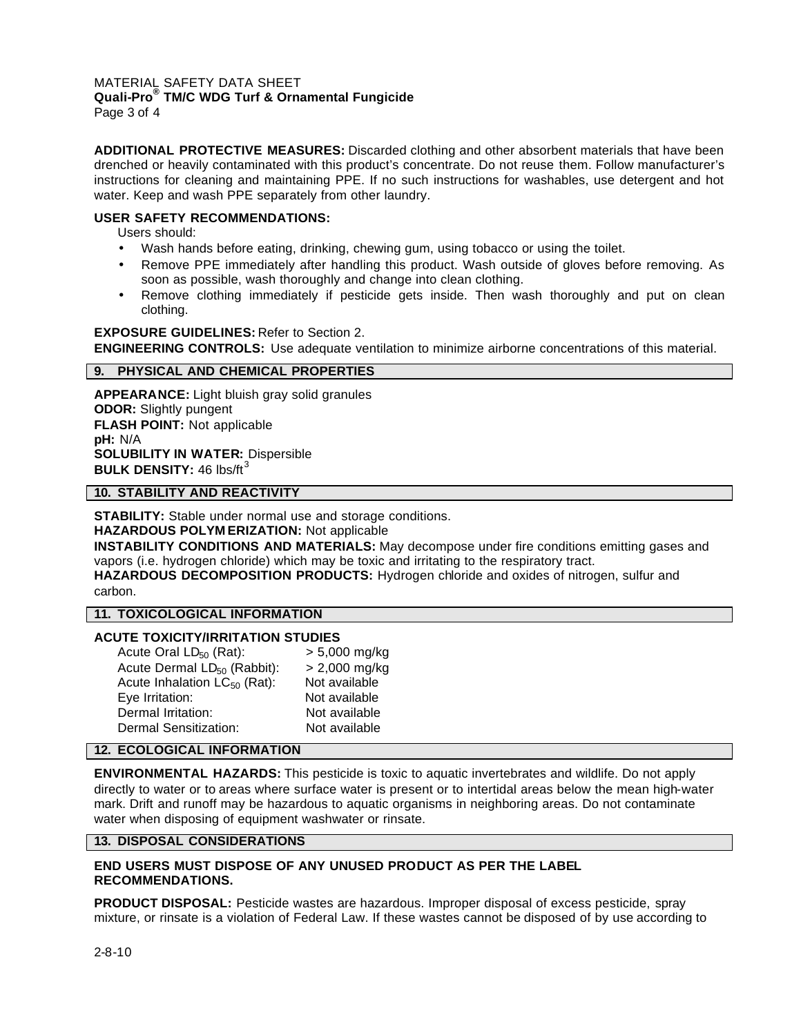#### MATERIAL SAFETY DATA SHEET **Quali-Pro® TM/C WDG Turf & Ornamental Fungicide** Page 3 of 4

**ADDITIONAL PROTECTIVE MEASURES:** Discarded clothing and other absorbent materials that have been drenched or heavily contaminated with this product's concentrate. Do not reuse them. Follow manufacturer's instructions for cleaning and maintaining PPE. If no such instructions for washables, use detergent and hot water. Keep and wash PPE separately from other laundry.

# **USER SAFETY RECOMMENDATIONS:**

Users should:

- Wash hands before eating, drinking, chewing gum, using tobacco or using the toilet.
- Remove PPE immediately after handling this product. Wash outside of gloves before removing. As soon as possible, wash thoroughly and change into clean clothing.
- Remove clothing immediately if pesticide gets inside. Then wash thoroughly and put on clean clothing.

### **EXPOSURE GUIDELINES:** Refer to Section 2.

**ENGINEERING CONTROLS:** Use adequate ventilation to minimize airborne concentrations of this material.

## **9. PHYSICAL AND CHEMICAL PROPERTIES**

**APPEARANCE:** Light bluish gray solid granules **ODOR:** Slightly pungent **FLASH POINT:** Not applicable **pH:** N/A **SOLUBILITY IN WATER:** Dispersible **BULK DENSITY: 46 lbs/ft<sup>3</sup>** 

### **10. STABILITY AND REACTIVITY**

**STABILITY:** Stable under normal use and storage conditions. **HAZARDOUS POLYM ERIZATION:** Not applicable

**INSTABILITY CONDITIONS AND MATERIALS:** May decompose under fire conditions emitting gases and vapors (i.e. hydrogen chloride) which may be toxic and irritating to the respiratory tract.

**HAZARDOUS DECOMPOSITION PRODUCTS:** Hydrogen chloride and oxides of nitrogen, sulfur and carbon.

#### **11. TOXICOLOGICAL INFORMATION**

## **ACUTE TOXICITY/IRRITATION STUDIES**

| Acute Oral $LD_{50}$ (Rat):             | $> 5,000$ mg/kg |
|-----------------------------------------|-----------------|
| Acute Dermal LD <sub>50</sub> (Rabbit): | $> 2,000$ mg/kg |
| Acute Inhalation $LC_{50}$ (Rat):       | Not available   |
| Eye Irritation:                         | Not available   |
| Dermal Irritation:                      | Not available   |
| Dermal Sensitization:                   | Not available   |

### **12. ECOLOGICAL INFORMATION**

**ENVIRONMENTAL HAZARDS:** This pesticide is toxic to aquatic invertebrates and wildlife. Do not apply directly to water or to areas where surface water is present or to intertidal areas below the mean high-water mark. Drift and runoff may be hazardous to aquatic organisms in neighboring areas. Do not contaminate water when disposing of equipment washwater or rinsate.

## **13. DISPOSAL CONSIDERATIONS**

## **END USERS MUST DISPOSE OF ANY UNUSED PRODUCT AS PER THE LABEL RECOMMENDATIONS.**

**PRODUCT DISPOSAL:** Pesticide wastes are hazardous. Improper disposal of excess pesticide, spray mixture, or rinsate is a violation of Federal Law. If these wastes cannot be disposed of by use according to